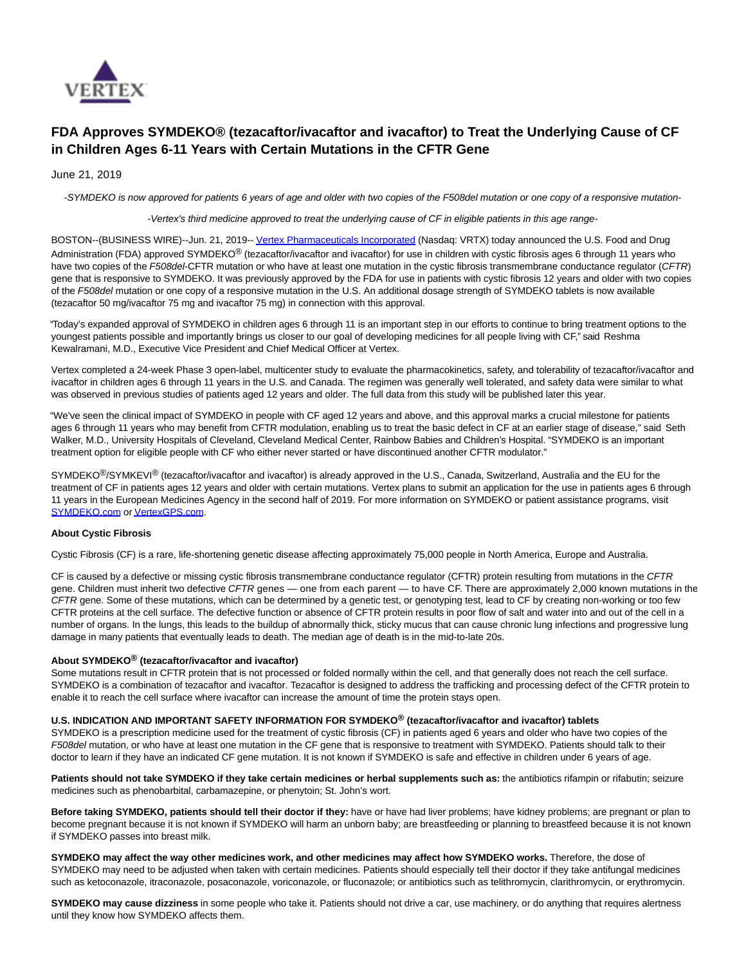

# **FDA Approves SYMDEKO® (tezacaftor/ivacaftor and ivacaftor) to Treat the Underlying Cause of CF in Children Ages 6-11 Years with Certain Mutations in the CFTR Gene**

## June 21, 2019

-SYMDEKO is now approved for patients 6 years of age and older with two copies of the F508del mutation or one copy of a responsive mutation-

-Vertex's third medicine approved to treat the underlying cause of CF in eligible patients in this age range-

BOSTON--(BUSINESS WIRE)--Jun. 21, 2019-[- Vertex Pharmaceuticals Incorporated \(](https://cts.businesswire.com/ct/CT?id=smartlink&url=http%3A%2F%2Fwww.vrtx.com&esheet=52003359&newsitemid=20190621005443&lan=en-US&anchor=Vertex+Pharmaceuticals+Incorporated&index=1&md5=2732c9c6231c56a9c7d90fd3ceb14773)Nasdaq: VRTX) today announced the U.S. Food and Drug Administration (FDA) approved SYMDEKO<sup>®</sup> (tezacaftor/ivacaftor and ivacaftor) for use in children with cystic fibrosis ages 6 through 11 years who have two copies of the F508del-CFTR mutation or who have at least one mutation in the cystic fibrosis transmembrane conductance regulator (CFTR) gene that is responsive to SYMDEKO. It was previously approved by the FDA for use in patients with cystic fibrosis 12 years and older with two copies of the F508del mutation or one copy of a responsive mutation in the U.S. An additional dosage strength of SYMDEKO tablets is now available (tezacaftor 50 mg/ivacaftor 75 mg and ivacaftor 75 mg) in connection with this approval.

"Today's expanded approval of SYMDEKO in children ages 6 through 11 is an important step in our efforts to continue to bring treatment options to the youngest patients possible and importantly brings us closer to our goal of developing medicines for all people living with CF," said Reshma Kewalramani, M.D., Executive Vice President and Chief Medical Officer at Vertex.

Vertex completed a 24-week Phase 3 open-label, multicenter study to evaluate the pharmacokinetics, safety, and tolerability of tezacaftor/ivacaftor and ivacaftor in children ages 6 through 11 years in the U.S. and Canada. The regimen was generally well tolerated, and safety data were similar to what was observed in previous studies of patients aged 12 years and older. The full data from this study will be published later this year.

"We've seen the clinical impact of SYMDEKO in people with CF aged 12 years and above, and this approval marks a crucial milestone for patients ages 6 through 11 years who may benefit from CFTR modulation, enabling us to treat the basic defect in CF at an earlier stage of disease," said Seth Walker, M.D., University Hospitals of Cleveland, Cleveland Medical Center, Rainbow Babies and Children's Hospital. "SYMDEKO is an important treatment option for eligible people with CF who either never started or have discontinued another CFTR modulator."

SYMDEKO<sup>®</sup>/SYMKEVI<sup>®</sup> (tezacaftor/ivacaftor and ivacaftor) is already approved in the U.S., Canada, Switzerland, Australia and the EU for the treatment of CF in patients ages 12 years and older with certain mutations. Vertex plans to submit an application for the use in patients ages 6 through 11 years in the European Medicines Agency in the second half of 2019. For more information on SYMDEKO or patient assistance programs, visit [SYMDEKO.com o](https://cts.businesswire.com/ct/CT?id=smartlink&url=https%3A%2F%2Fwww.symdeko.com%2F&esheet=52003359&newsitemid=20190621005443&lan=en-US&anchor=SYMDEKO.com&index=2&md5=453f874be36b1d99927e03918a750b9e)[r VertexGPS.com.](https://cts.businesswire.com/ct/CT?id=smartlink&url=https%3A%2F%2Fwww.vertexgps.com%2F&esheet=52003359&newsitemid=20190621005443&lan=en-US&anchor=VertexGPS.com&index=3&md5=48df21b871cc990b651cd9a4714588e0)

#### **About Cystic Fibrosis**

Cystic Fibrosis (CF) is a rare, life-shortening genetic disease affecting approximately 75,000 people in North America, Europe and Australia.

CF is caused by a defective or missing cystic fibrosis transmembrane conductance regulator (CFTR) protein resulting from mutations in the CFTR gene. Children must inherit two defective CFTR genes — one from each parent — to have CF. There are approximately 2,000 known mutations in the CFTR gene. Some of these mutations, which can be determined by a genetic test, or genotyping test, lead to CF by creating non-working or too few CFTR proteins at the cell surface. The defective function or absence of CFTR protein results in poor flow of salt and water into and out of the cell in a number of organs. In the lungs, this leads to the buildup of abnormally thick, sticky mucus that can cause chronic lung infections and progressive lung damage in many patients that eventually leads to death. The median age of death is in the mid-to-late 20s.

#### **About SYMDEKO® (tezacaftor/ivacaftor and ivacaftor)**

Some mutations result in CFTR protein that is not processed or folded normally within the cell, and that generally does not reach the cell surface. SYMDEKO is a combination of tezacaftor and ivacaftor. Tezacaftor is designed to address the trafficking and processing defect of the CFTR protein to enable it to reach the cell surface where ivacaftor can increase the amount of time the protein stays open.

#### **U.S. INDICATION AND IMPORTANT SAFETY INFORMATION FOR SYMDEKO® (tezacaftor/ivacaftor and ivacaftor) tablets**

SYMDEKO is a prescription medicine used for the treatment of cystic fibrosis (CF) in patients aged 6 years and older who have two copies of the F508del mutation, or who have at least one mutation in the CF gene that is responsive to treatment with SYMDEKO. Patients should talk to their doctor to learn if they have an indicated CF gene mutation. It is not known if SYMDEKO is safe and effective in children under 6 years of age.

Patients should not take SYMDEKO if they take certain medicines or herbal supplements such as: the antibiotics rifampin or rifabutin; seizure medicines such as phenobarbital, carbamazepine, or phenytoin; St. John's wort.

**Before taking SYMDEKO, patients should tell their doctor if they:** have or have had liver problems; have kidney problems; are pregnant or plan to become pregnant because it is not known if SYMDEKO will harm an unborn baby; are breastfeeding or planning to breastfeed because it is not known if SYMDEKO passes into breast milk.

**SYMDEKO may affect the way other medicines work, and other medicines may affect how SYMDEKO works.** Therefore, the dose of SYMDEKO may need to be adjusted when taken with certain medicines. Patients should especially tell their doctor if they take antifungal medicines such as ketoconazole, itraconazole, posaconazole, voriconazole, or fluconazole; or antibiotics such as telithromycin, clarithromycin, or erythromycin.

**SYMDEKO may cause dizziness** in some people who take it. Patients should not drive a car, use machinery, or do anything that requires alertness until they know how SYMDEKO affects them.